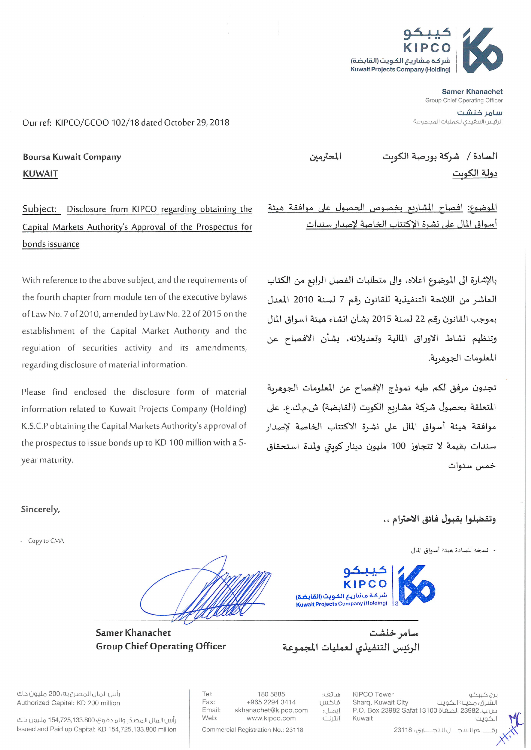

**Samer Khanachet** Group Chief Operating Officer

سامر خنشت الرئيس التنغيذى لعمليات المجموعة

Our ref: KIPCO/GCOO 102/18 dated October 29, 2018

**Boursa Kuwait Company KUWAIT** 

Subject: Disclosure from KIPCO regarding obtaining the Capital Markets Authority's Approval of the Prospectus for bonds issuance

With reference to the above subject, and the requirements of the fourth chapter from module ten of the executive bylaws of Law No. 7 of 2010, amended by Law No. 22 of 2015 on the establishment of the Capital Market Authority and the regulation of securities activity and its amendments, regarding disclosure of material information.

Please find enclosed the disclosure form of material information related to Kuwait Projects Company (Holding) K.S.C.P obtaining the Capital Markets Authority's approval of the prospectus to issue bonds up to KD 100 million with a 5year maturity.

Samer Khanachet

**Group Chief Operating Officer** 

المحترمين

السادة / شركة بورصة الكوىت دولة الكوىت

الموضوع: افصاح المشاريع بخصوص الحصول على موافقة هيئة أسواق المال على نشرة الإكتتاب الخاصة لإصدار سندات

بالإشارة الى الموضوع اعلاه، والى متطلبات الفصل الرابع من الكتاب العاشر من اللائحة التنفيذية للقانون رقم 7 لسنة 2010 المعدل بموجب القانون رقم 22 لسنة 2015 بشأن انشاء هيئة اسواق المال وتنظيم نشاط الاوراق المالية وتعديلاته، بشأن الافصاح عن المعلومات الجوهرية.

تجدون مرفق لكم طيه نموذج الإفصاح عن المعلومات الجوهربة المتعلقة بحصول شركة مشاريع الكويت (القابضة) ش.م.ك.ع. على موافقة هيئة أسواق المال على نشرة الاكتتاب الخاصة لإصدار سندات بقيمة لا تتجاوز 100 مليون دينار كوىتى ولمدة استحقاق خمس سنوات

## وتفضلوا بقبول فائق الاحترام ..

- نسخة للسادة هيئة أسواق المال



KIPCO Tower

Sharq, Kuwait City

سامہ خنشت الرئيس التنفيذى لعمليات المجموعة

هاتف:

إيميل:

انترنت:

فاكس:

رأس المال المصرح به؛ 200 مليون د.ك Authorized Capital: KD 200 million

Sincerely,

- Copy to CMA

180 5885 +965 2294 3414 skhanachet@kipco.com www.kipco.com

Commercial Registration No.: 23118

 $Tel'$ 

Fax:

Email:

Web:

P.O. Box 23982 Safat 13100 قابل. 23982 P.O. Kuwait الكويت ــم السجـــــل الـتجـــــاري: 23118

برج کیبکو

الشرق، مدينة الكويت